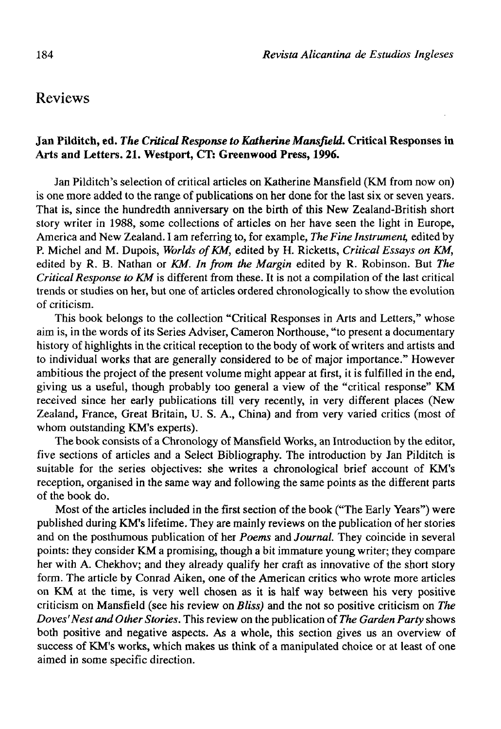# Reviews

## **Jan Pilditch, ed.** *The Critical Response to Kaíherine Mansfield.* **Crítical Responses in Arts and Letters. 21. Westport, CT: Greenwood Press, 1996.**

Jan Pilditch's selection of critical articles on Katherine Mansfield (KM from now on) is one more added to the range of publications on her done for the last six or seven years. That is, since the hundredth anniversary on the birth of this New Zealand-British short story writer in 1988, some collections of articles on her have seen the light in Europe, America and New Zealand. I am referring to, for example, *The Fine Instrument,* edited by P. Michel and M. Dupois, *Worlds ofKM,* edited by H. Ricketts, *Critical Essays on KM,*  edited by R. B. Nathan or *KM. In from the Margin* edited by R. Robinson. But *The Critical Response to KM* is different from these. It is not a compilation of the last critical trends or studies on her, but one of articles ordered chronologically to show the evolution of criticism.

This book belongs to the collection "Critical Responses in Arts and Letters," whose aim is, in the words of its Series Adviser, Cameron Northouse, "to present a documentary history of highlights in the critical reception to the body of work of writers and artists and to individual works that are generally considered to be of major importance." However ambitious the project of the present volume might appear at first, it is fulfilled in the end, giving us a useful, though probably too general a view of the "critical response" KM received since her early publications till very recently, in very different places (New Zealand, France, Great Britain, U. S. A., China) and from very varied critics (most of whom outstanding KM's experts).

The book consists of a Chronology of Mansfield Works, an Introduction by the editor, five sections of articles and a Select Bibliography. The introduction by Jan Pilditch is suitable for the series objectives: she writes a chronological brief account of KM's reception, organised in the same way and following the same points as the different parts of the book do.

Most of the articles included in the first section of the book ("The Early Years") were published during KM's lifetime. They are mainly reviews on the publication of her stories and on the posthumous publication of her *Poems* and *Journal.* They coincide in several points: they consider KM a promising, though a bit immature young writer; they compare her with A. Chekhov; and they already qualify her craft as innovative of the short story form. The article by Conrad Aiken, one of the American critics who wrote more articles on KM at the time, is very well chosen as it is half way between his very positive criticism on Mansfield (see his review on *Bliss)* and the not so positive criticism on *The Doves'Nest and Other Stories.* This review on the publication of *The Garden Party* shows both positive and negative aspects. As a whole, this section gives us an overview of success of KM's works, which makes us think of a manipulated choice or at least of one aimed in some specific direction.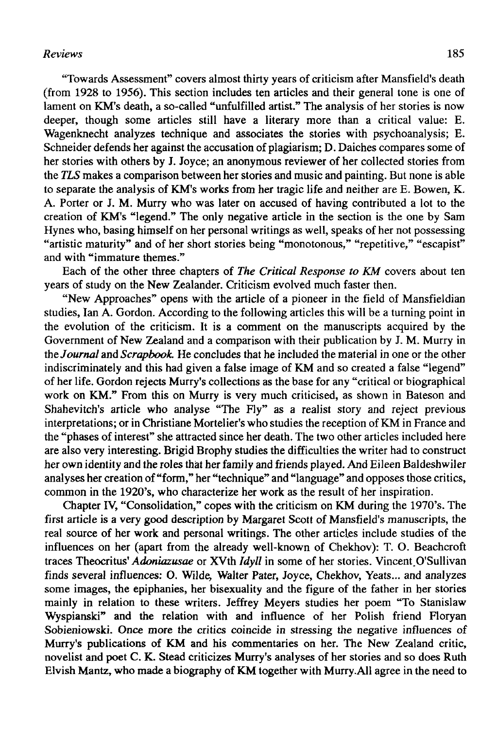# *Reviews* 185

"Towards Assessment" covers almost thirty years of criticism after Mansfield's death (from 1928 to 1956). This section includes ten articles and their general tone is one of lament on KM's death, a so-called "unfulfilled artist." The analysis of her stories is now deeper, though some articles still have a literary more than a critical value: E. Wagenknecht analyzes technique and associates the stories with psychoanalysis; E. Schneider defends her against the accusation of plagiarism; D. Daiches compares some of her stories with others by J. Joyce; an anonymous reviewer of her collected stories from the *TLS* makes a comparison between her stories and music and painting. But none is able to separate the analysis of KM's works from her tragic life and neither are E. Bowen, K. A. Porter or J. M. Murry who was later on accused of having contributed a lot to the creation of KM's "legend." The only negative article in the section is the one by Sam Hynes who, basing himself on her personal writings as well, speaks of her not possessing "artistic maturity" and of her short stories being "monotonous," "repetitive," "escapist" and with "immature themes."

Each of the other three chapters of *The Critical Response to KM* covers about ten years of study on the New Zealander. Criticism evolved much faster then.

"New Approaches" opens with the article of a pioneer in the field of Mansfieldian studies, Ian A. Gordon. According to the following articles this will be a turning point in the evolution of the criticism. It is a comment on the manuscripts acquired by the Government of New Zealand and a comparison with their publication by J. M. Murry in the *Journal* and *Scrapbook.* He concludes that he included the material in one or the other indiscriminately and this had given a false image of KM and so created a false "legend" of her life. Gordon rejects Murry's collections as the base for any "critical or biographical work on KM." From this on Murry is very much criticised, as shown in Bateson and Shahevitch's article who analyse "The Fly" as a realist story and reject previous interpretations; or in Christiane Mortelier's who studies the reception of KM in France and the "phases of interest" she attracted since her death. The two other articles included here are also very interesting. Brigid Brophy studies the difficulties the writer had to construct her own identity and the roles thát her family and friends played. And Eileen Baldeshwiler analyses her creation of "form," her "technique" and "language" and opposes those critics, common in the 1920's, who characterize her work as the result of her inspiration.

Chapter IV, "Consolidation," copes with the criticism on KM during the 1970's. The first article is a very good description by Margaret Scott of Mansfield's manuscripts, the real source of her work and personal writings. The other articles include studies of the influences on her (apart from the already well-known of Chekhov): T. O. Beachcroft traces Theocritus' *Adoniazusae* or XVth *Idyll* in some of her stories. Vincent.O'Sullivan finds several influences: O. Wilde, Walter Pater, Joyce, Chekhov, Yeats... and analyzes some images, the epiphanies, her bisexuality and the figure of the father in her stories mainly in relation to these writers. Jeffrey Meyers studies her poem "To Stanislaw Wyspianski" and the relation with and influence of her Polish friend Floryan Sobieniowski. Once more the critics coincide in stressing the negative influences of Murry's publications of KM and his commentaries on her. The New Zealand critic, novelist and poet C. K. Stead criticizes Murry's analyses of her stories and so does Ruth Elvish Mantz, who made a biography of KM together with Murry.All agree in the need to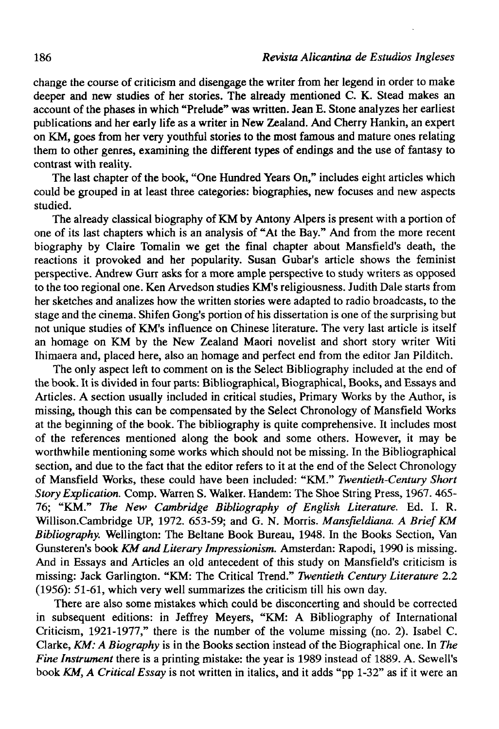change the course of criticism and disengage the writer from her legend in order to make deeper and new studies of her stories. The already mentioned C. K. Stead makes an account of the phases in which "Prelude" was written. Jean E. Stone analyzes her earliest publications and her early life as a writer in New Zealand. And Cherry Hankin, an expert on KM, goes from her very youthful stories to the most famous and mature ones relating thera to other genres, examining the different types of endings and the use of fantasy to contrast with reality.

The last chapter of the book, "One Hundred Years On," includes eight articles which could be grouped in at least three categories: biographies, new focuses and new aspects studied.

The already classical biography of KM by Antony Alpers is present with a portion of one of its last chapters which is an analysis of "At the Bay." And from the more recent biography by Claire Tomalin we get the final chapter about Mansfield's death, the reactions it provoked and her popularity. Susan Gubar's article shows the feminist perspective. Andrew Gurr asks for a more ampie perspective to study writers as opposed to the too regional one. Ken Arvedson studies KM's religiousness. Judith Dale starts from her sketches and analizes how the written stories were adapted to radio broadcasts, to the stage and the cinema. Shifen Gong's portion of his dissertation is one of the surprising but not unique studies of KM's influence on Chínese literature. The very last article is itself an homage on KM by the New Zealand Maori novelist and short story writer Witi Ihimaera and, placed here, also an homage and perfect end from the editor Jan Pilditch.

The only aspect left to comment on is the Select Bibliography included at the end of the book. It is divided in four parts: Bibliographical, Biographical, Books, and Essays and Articles. A section usually included in critical studies, Primary Works by the Author, is missing, though this can be compensated by the Select Chronology of Mansfield Works at the beginning of the book. The bibliography is quite comprehensive. It includes most of the references mentioned along the book and some others. However, it may be worthwhile mentioning some works which should not be missing. In the Bibliographical section, and due to the fact that the editor refers to it at the end of the Select Chronology of Mansfield Works, these could have been included: "KM." *Twentieth-Century Short Story Explication.* Comp. Warren S. Walker. Handem: The Shoe String Press, 1967. 465- 76; "KM." *The New Cambridge Bibliography of English Literature.* Ed. I. R. Willison.Cambridge UP, 1972. 653-59; and G. N. Morris. *Mansfieldiana. A BriefKM Bibliography.* Wellington: The Beltane Book Bureau, 1948. In the Books Section, Van Gunsteren's book *KM and Literary Impressionism.* Amsterdan: Rapodi, 1990 is missing. And in Essays and Articles an old antecedent of this study on Mansfield's criticism is missing: Jack Garlington. "KM: The Critical Trend." *Twentieth Century Literature* 2.2 (1956): 51-61, which very well summarizes the criticism till his own day.

There are also some mistakes which could be disconcerting and should be corrected in subsequent editions: in Jeffrey Meyers, "KM: A Bibliography of International Criticism, 1921-1977," there is the number of the volume missing (no. 2). Isabel C. Clarke, *KM: A Biography* is in the Books section instead of the Biographical one. In *The Fine Instrument* there is a printing mistake: the year is 1989 instead of 1889. A. Sewell's book KM, A Critical Essay is not written in italics, and it adds "pp 1-32" as if it were an